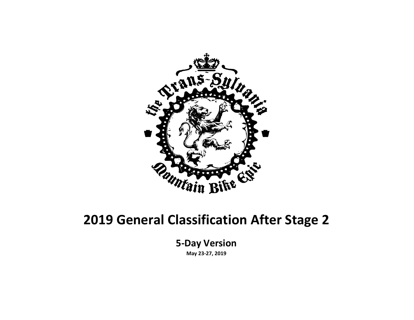

#### **2019 General Classification After Stage 2**

**5-Day Version**

**May 23-27, 2019**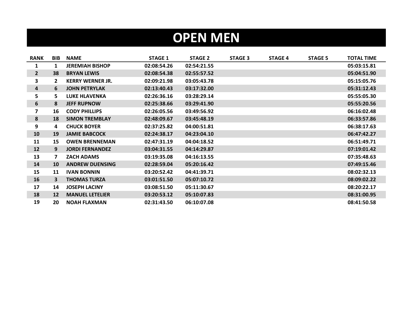## **OPEN MEN**

| <b>RANK</b>  | <b>BIB</b> | <b>NAME</b>             | <b>STAGE 1</b> | <b>STAGE 2</b> | <b>STAGE 3</b> | <b>STAGE 4</b> | <b>STAGE 5</b> | <b>TOTAL TIME</b> |
|--------------|------------|-------------------------|----------------|----------------|----------------|----------------|----------------|-------------------|
| 1            | 1          | <b>JEREMIAH BISHOP</b>  | 02:08:54.26    | 02:54:21.55    |                |                |                | 05:03:15.81       |
| $\mathbf{2}$ | 38         | <b>BRYAN LEWIS</b>      | 02:08:54.38    | 02:55:57.52    |                |                |                | 05:04:51.90       |
| 3            | 2          | <b>KERRY WERNER JR.</b> | 02:09:21.98    | 03:05:43.78    |                |                |                | 05:15:05.76       |
| 4            | 6          | <b>JOHN PETRYLAK</b>    | 02:13:40.43    | 03:17:32.00    |                |                |                | 05:31:12.43       |
| 5            | 5.         | <b>LUKE HLAVENKA</b>    | 02:26:36.16    | 03:28:29.14    |                |                |                | 05:55:05.30       |
| 6            | 8          | <b>JEFF RUPNOW</b>      | 02:25:38.66    | 03:29:41.90    |                |                |                | 05:55:20.56       |
| 7            | 16         | <b>CODY PHILLIPS</b>    | 02:26:05.56    | 03:49:56.92    |                |                |                | 06:16:02.48       |
| 8            | 18         | <b>SIMON TREMBLAY</b>   | 02:48:09.67    | 03:45:48.19    |                |                |                | 06:33:57.86       |
| 9            | 4          | <b>CHUCK BOYER</b>      | 02:37:25.82    | 04:00:51.81    |                |                |                | 06:38:17.63       |
| 10           | 19         | <b>JAMIE BABCOCK</b>    | 02:24:38.17    | 04:23:04.10    |                |                |                | 06:47:42.27       |
| 11           | 15         | <b>OWEN BRENNEMAN</b>   | 02:47:31.19    | 04:04:18.52    |                |                |                | 06:51:49.71       |
| 12           | 9          | <b>JORDI FERNANDEZ</b>  | 03:04:31.55    | 04:14:29.87    |                |                |                | 07:19:01.42       |
| 13           | 7          | <b>ZACH ADAMS</b>       | 03:19:35.08    | 04:16:13.55    |                |                |                | 07:35:48.63       |
| 14           | 10         | <b>ANDREW DUENSING</b>  | 02:28:59.04    | 05:20:16.42    |                |                |                | 07:49:15.46       |
| 15           | 11         | <b>IVAN BONNIN</b>      | 03:20:52.42    | 04:41:39.71    |                |                |                | 08:02:32.13       |
| 16           | 3          | <b>THOMAS TURZA</b>     | 03:01:51.50    | 05:07:10.72    |                |                |                | 08:09:02.22       |
| 17           | 14         | <b>JOSEPH LACINY</b>    | 03:08:51.50    | 05:11:30.67    |                |                |                | 08:20:22.17       |
| 18           | 12         | <b>MANUEL LETELIER</b>  | 03:20:53.12    | 05:10:07.83    |                |                |                | 08:31:00.95       |
| 19           | 20         | <b>NOAH FLAXMAN</b>     | 02:31:43.50    | 06:10:07.08    |                |                |                | 08:41:50.58       |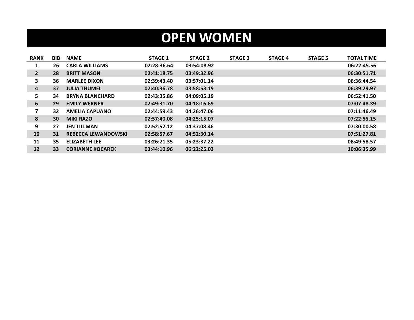## **OPEN WOMEN**

| <b>RANK</b>    | <b>BIB</b> | <b>NAME</b>                | <b>STAGE 1</b> | <b>STAGE 2</b> | <b>STAGE 3</b> | <b>STAGE 4</b> | <b>STAGE 5</b> | <b>TOTAL TIME</b> |
|----------------|------------|----------------------------|----------------|----------------|----------------|----------------|----------------|-------------------|
| 1              | 26         | <b>CARLA WILLIAMS</b>      | 02:28:36.64    | 03:54:08.92    |                |                |                | 06:22:45.56       |
| $\mathbf{2}$   | 28         | <b>BRITT MASON</b>         | 02:41:18.75    | 03:49:32.96    |                |                |                | 06:30:51.71       |
| 3              | 36         | <b>MARLEE DIXON</b>        | 02:39:43.40    | 03:57:01.14    |                |                |                | 06:36:44.54       |
| $\overline{a}$ | 37         | <b>JULIA THUMEL</b>        | 02:40:36.78    | 03:58:53.19    |                |                |                | 06:39:29.97       |
| 5.             | 34         | <b>BRYNA BLANCHARD</b>     | 02:43:35.86    | 04:09:05.19    |                |                |                | 06:52:41.50       |
| 6              | 29         | <b>EMILY WERNER</b>        | 02:49:31.70    | 04:18:16.69    |                |                |                | 07:07:48.39       |
| 7              | 32         | <b>AMELIA CAPUANO</b>      | 02:44:59.43    | 04:26:47.06    |                |                |                | 07:11:46.49       |
| 8              | 30         | <b>MIKI RAZO</b>           | 02:57:40.08    | 04:25:15.07    |                |                |                | 07:22:55.15       |
| 9              | 27         | <b>JEN TILLMAN</b>         | 02:52:52.12    | 04:37:08.46    |                |                |                | 07:30:00.58       |
| 10             | 31         | <b>REBECCA LEWANDOWSKI</b> | 02:58:57.67    | 04:52:30.14    |                |                |                | 07:51:27.81       |
| 11             | 35         | <b>ELIZABETH LEE</b>       | 03:26:21.35    | 05:23:37.22    |                |                |                | 08:49:58.57       |
| 12             | 33         | <b>CORIANNE KOCAREK</b>    | 03:44:10.96    | 06:22:25.03    |                |                |                | 10:06:35.99       |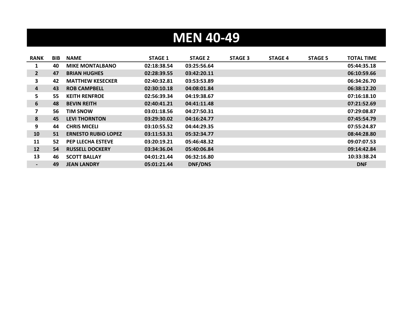# **MEN 40-49**

| <b>RANK</b> | <b>BIB</b> | <b>NAME</b>                | <b>STAGE 1</b> | <b>STAGE 2</b> | <b>STAGE 3</b> | <b>STAGE 4</b> | <b>STAGE 5</b> | <b>TOTAL TIME</b> |
|-------------|------------|----------------------------|----------------|----------------|----------------|----------------|----------------|-------------------|
| 1           | 40         | <b>MIKE MONTALBANO</b>     | 02:18:38.54    | 03:25:56.64    |                |                |                | 05:44:35.18       |
| $2^{\circ}$ | 47         | <b>BRIAN HUGHES</b>        | 02:28:39.55    | 03:42:20.11    |                |                |                | 06:10:59.66       |
| 3           | 42         | <b>MATTHEW KESECKER</b>    | 02:40:32.81    | 03:53:53.89    |                |                |                | 06:34:26.70       |
| 4           | 43         | <b>ROB CAMPBELL</b>        | 02:30:10.18    | 04:08:01.84    |                |                |                | 06:38:12.20       |
| 5           | 55         | <b>KEITH RENFROE</b>       | 02:56:39.34    | 04:19:38.67    |                |                |                | 07:16:18.10       |
| 6           | 48         | <b>BEVIN REITH</b>         | 02:40:41.21    | 04:41:11.48    |                |                |                | 07:21:52.69       |
| 7           | 56         | <b>TIM SNOW</b>            | 03:01:18.56    | 04:27:50.31    |                |                |                | 07:29:08.87       |
| 8           | 45         | <b>LEVI THORNTON</b>       | 03:29:30.02    | 04:16:24.77    |                |                |                | 07:45:54.79       |
| 9           | 44         | <b>CHRIS MICELI</b>        | 03:10:55.52    | 04:44:29.35    |                |                |                | 07:55:24.87       |
| 10          | 51         | <b>ERNESTO RUBIO LOPEZ</b> | 03:11:53.31    | 05:32:34.77    |                |                |                | 08:44:28.80       |
| 11          | 52         | <b>PEP LLECHA ESTEVE</b>   | 03:20:19.21    | 05:46:48.32    |                |                |                | 09:07:07.53       |
| 12          | 54         | <b>RUSSELL DOCKERY</b>     | 03:34:36.04    | 05:40:06.84    |                |                |                | 09:14:42.84       |
| 13          | 46         | <b>SCOTT BALLAY</b>        | 04:01:21.44    | 06:32:16.80    |                |                |                | 10:33:38.24       |
|             | 49         | <b>JEAN LANDRY</b>         | 05:01:21.44    | DNF/DNS        |                |                |                | <b>DNF</b>        |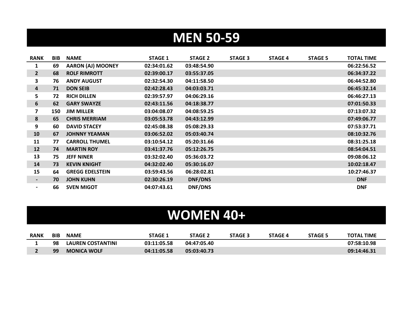## **MEN 50-59**

| <b>RANK</b>              | <b>BIB</b> | <b>NAME</b>              | <b>STAGE 1</b> | <b>STAGE 2</b> | <b>STAGE 3</b> | <b>STAGE 4</b> | <b>STAGE 5</b> | <b>TOTAL TIME</b> |
|--------------------------|------------|--------------------------|----------------|----------------|----------------|----------------|----------------|-------------------|
| 1                        | 69         | <b>AARON (AJ) MOONEY</b> | 02:34:01.62    | 03:48:54.90    |                |                |                | 06:22:56.52       |
| $\mathbf{2}$             | 68         | <b>ROLF RIMROTT</b>      | 02:39:00.17    | 03:55:37.05    |                |                |                | 06:34:37.22       |
| 3                        | 76         | <b>ANDY AUGUST</b>       | 02:32:54.30    | 04:11:58.50    |                |                |                | 06:44:52.80       |
| 4                        | 71         | <b>DON SEIB</b>          | 02:42:28.43    | 04:03:03.71    |                |                |                | 06:45:32.14       |
| 5                        | 72         | <b>RICH DILLEN</b>       | 02:39:57.97    | 04:06:29.16    |                |                |                | 06:46:27.13       |
| 6                        | 62         | <b>GARY SWAYZE</b>       | 02:43:11.56    | 04:18:38.77    |                |                |                | 07:01:50.33       |
| 7                        | 150        | <b>JIM MILLER</b>        | 03:04:08.07    | 04:08:59.25    |                |                |                | 07:13:07.32       |
| 8                        | 65         | <b>CHRIS MERRIAM</b>     | 03:05:53.78    | 04:43:12.99    |                |                |                | 07:49:06.77       |
| 9                        | 60         | <b>DAVID STACEY</b>      | 02:45:08.38    | 05:08:29.33    |                |                |                | 07:53:37.71       |
| 10                       | 67         | <b>JOHNNY YEAMAN</b>     | 03:06:52.02    | 05:03:40.74    |                |                |                | 08:10:32.76       |
| 11                       | 77         | <b>CARROLL THUMEL</b>    | 03:10:54.12    | 05:20:31.66    |                |                |                | 08:31:25.18       |
| 12                       | 74         | <b>MARTIN ROY</b>        | 03:41:37.76    | 05:12:26.75    |                |                |                | 08:54:04.51       |
| 13                       | 75         | <b>JEFF NINER</b>        | 03:32:02.40    | 05:36:03.72    |                |                |                | 09:08:06.12       |
| 14                       | 73         | <b>KEVIN KNIGHT</b>      | 04:32:02.40    | 05:30:16.07    |                |                |                | 10:02:18.47       |
| 15                       | 64         | <b>GREGG EDELSTEIN</b>   | 03:59:43.56    | 06:28:02.81    |                |                |                | 10:27:46.37       |
| $\blacksquare$           | 70         | <b>JOHN KUHN</b>         | 02:30:26.19    | DNF/DNS        |                |                |                | <b>DNF</b>        |
| $\overline{\phantom{0}}$ | 66         | <b>SVEN MIGOT</b>        | 04:07:43.61    | DNF/DNS        |                |                |                | <b>DNF</b>        |

## **WOMEN 40+**

| <b>RANK</b> | <b>BIB</b> | <b>NAME</b>              | <b>STAGE 1</b> | <b>STAGE 2</b> | <b>STAGE 3</b> | <b>STAGE 4</b> | <b>STAGE 5</b> | <b>TOTAL TIME</b> |
|-------------|------------|--------------------------|----------------|----------------|----------------|----------------|----------------|-------------------|
|             | 98         | <b>LAUREN COSTANTINI</b> | 03:11:05.58    | 04:47:05.40    |                |                |                | 07:58:10.98       |
|             | 99         | <b>MONICA WOLF</b>       | 04:11:05.58    | 05:03:40.73    |                |                |                | 09:14:46.31       |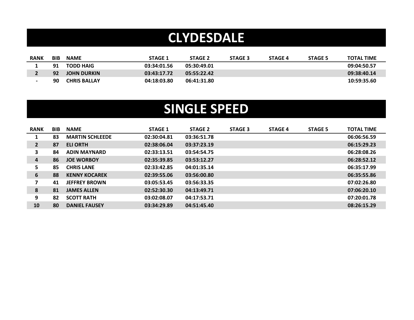### **CLYDESDALE**

| <b>RANK</b> | <b>BIB</b> | <b>NAME</b>         | <b>STAGE 1</b> | <b>STAGE 2</b> | <b>STAGE 3</b> | <b>STAGE 4</b> | <b>STAGE 5</b> | <b>TOTAL TIME</b> |
|-------------|------------|---------------------|----------------|----------------|----------------|----------------|----------------|-------------------|
|             | 91         | <b>TODD HAIG</b>    | 03:34:01.56    | 05:30:49.01    |                |                |                | 09:04:50.57       |
|             | 92         | <b>JOHN DURKIN</b>  | 03:43:17.72    | 05:55:22.42    |                |                |                | 09:38:40.14       |
|             | -90        | <b>CHRIS BALLAY</b> | 04:18:03.80    | 06:41:31.80    |                |                |                | 10:59:35.60       |

### **SINGLE SPEED**

| <b>RANK</b>    | <b>BIB</b> | <b>NAME</b>            | <b>STAGE 1</b> | <b>STAGE 2</b> | <b>STAGE 3</b> | <b>STAGE 4</b> | <b>STAGE 5</b> | <b>TOTAL TIME</b> |
|----------------|------------|------------------------|----------------|----------------|----------------|----------------|----------------|-------------------|
| 1              | 83         | <b>MARTIN SCHLEEDE</b> | 02:30:04.81    | 03:36:51.78    |                |                |                | 06:06:56.59       |
| $\overline{2}$ | 87         | <b>ELI ORTH</b>        | 02:38:06.04    | 03:37:23.19    |                |                |                | 06:15:29.23       |
| 3              | 84         | <b>ADIN MAYNARD</b>    | 02:33:13.51    | 03:54:54.75    |                |                |                | 06:28:08.26       |
| 4              | 86         | <b>JOE WORBOY</b>      | 02:35:39.85    | 03:53:12.27    |                |                |                | 06:28:52.12       |
| 5.             | 85         | <b>CHRIS LANE</b>      | 02:33:42.85    | 04:01:35.14    |                |                |                | 06:35:17.99       |
| 6              | 88         | <b>KENNY KOCAREK</b>   | 02:39:55.06    | 03:56:00.80    |                |                |                | 06:35:55.86       |
| 7              | 41         | <b>JEFFREY BROWN</b>   | 03:05:53.45    | 03:56:33.35    |                |                |                | 07:02:26.80       |
| 8              | 81         | <b>JAMES ALLEN</b>     | 02:52:30.30    | 04:13:49.71    |                |                |                | 07:06:20.10       |
| 9              | 82         | <b>SCOTT RATH</b>      | 03:02:08.07    | 04:17:53.71    |                |                |                | 07:20:01.78       |
| 10             | 80         | <b>DANIEL FAUSEY</b>   | 03:34:29.89    | 04:51:45.40    |                |                |                | 08:26:15.29       |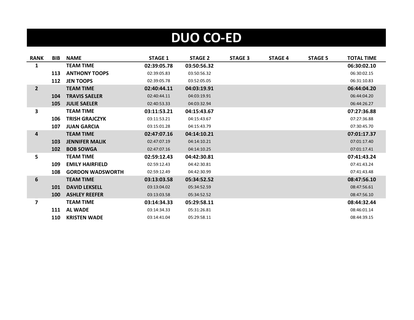# **DUO CO-ED**

| <b>RANK</b>    | <b>BIB</b> | <b>NAME</b>             | <b>STAGE 1</b> | <b>STAGE 2</b> | <b>STAGE 3</b> | <b>STAGE 4</b> | <b>STAGE 5</b> | <b>TOTAL TIME</b> |
|----------------|------------|-------------------------|----------------|----------------|----------------|----------------|----------------|-------------------|
| 1              |            | <b>TEAM TIME</b>        | 02:39:05.78    | 03:50:56.32    |                |                |                | 06:30:02.10       |
|                | 113        | <b>ANTHONY TOOPS</b>    | 02:39:05.83    | 03:50:56.32    |                |                |                | 06:30:02.15       |
|                | 112        | <b>JEN TOOPS</b>        | 02:39:05.78    | 03:52:05.05    |                |                |                | 06:31:10.83       |
| $\overline{2}$ |            | <b>TEAM TIME</b>        | 02:40:44.11    | 04:03:19.91    |                |                |                | 06:44:04.20       |
|                | 104        | <b>TRAVIS SAELER</b>    | 02:40:44.11    | 04:03:19.91    |                |                |                | 06:44:04.20       |
|                | 105        | <b>JULIE SAELER</b>     | 02:40:53.33    | 04:03:32.94    |                |                |                | 06:44:26.27       |
| 3              |            | <b>TEAM TIME</b>        | 03:11:53.21    | 04:15:43.67    |                |                |                | 07:27:36.88       |
|                | 106        | <b>TRISH GRAJCZYK</b>   | 03:11:53.21    | 04:15:43.67    |                |                |                | 07:27:36.88       |
|                | 107        | <b>JUAN GARCIA</b>      | 03:15:01.28    | 04:15:43.79    |                |                |                | 07:30:45.70       |
| 4              |            | <b>TEAM TIME</b>        | 02:47:07.16    | 04:14:10.21    |                |                |                | 07:01:17.37       |
|                | 103        | <b>JENNIFER MALIK</b>   | 02:47:07.19    | 04:14:10.21    |                |                |                | 07:01:17.40       |
|                | 102        | <b>BOB SOWGA</b>        | 02:47:07.16    | 04:14:10.25    |                |                |                | 07:01:17.41       |
| 5              |            | <b>TEAM TIME</b>        | 02:59:12.43    | 04:42:30.81    |                |                |                | 07:41:43.24       |
|                | 109        | <b>EMILY HAIRFIELD</b>  | 02:59:12.43    | 04:42:30.81    |                |                |                | 07:41:43.24       |
|                | 108        | <b>GORDON WADSWORTH</b> | 02:59:12.49    | 04:42:30.99    |                |                |                | 07:41:43.48       |
| 6              |            | <b>TEAM TIME</b>        | 03:13:03.58    | 05:34:52.52    |                |                |                | 08:47:56.10       |
|                | 101        | <b>DAVID LEKSELL</b>    | 03:13:04.02    | 05:34:52.59    |                |                |                | 08:47:56.61       |
|                | <b>100</b> | <b>ASHLEY REEFER</b>    | 03:13:03.58    | 05:34:52.52    |                |                |                | 08:47:56.10       |
| 7              |            | <b>TEAM TIME</b>        | 03:14:34.33    | 05:29:58.11    |                |                |                | 08:44:32.44       |
|                | 111        | <b>AL WADE</b>          | 03:14:34.33    | 05:31:26.81    |                |                |                | 08:46:01.14       |
|                | 110        | <b>KRISTEN WADE</b>     | 03:14:41.04    | 05:29:58.11    |                |                |                | 08:44:39.15       |